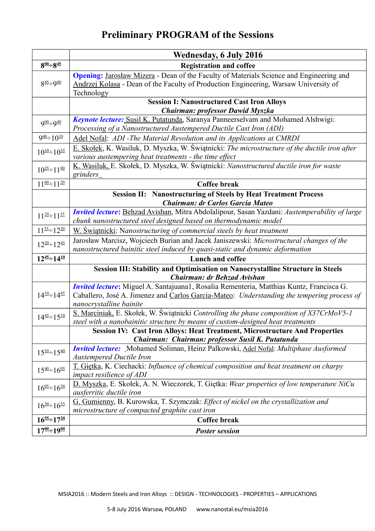## **Preliminary PROGRAM of the Sessions**

|                            | <b>Wednesday, 6 July 2016</b>                                                                                                                                                                                            |
|----------------------------|--------------------------------------------------------------------------------------------------------------------------------------------------------------------------------------------------------------------------|
| $8^{00} \div 8^{45}$       | <b>Registration and coffee</b>                                                                                                                                                                                           |
| $8\frac{45 \div 900}{45}$  | <b>Opening:</b> Jarosław Mizera - Dean of the Faculty of Materials Science and Engineering and<br>Andrzej Kolasa - Dean of the Faculty of Production Engineering, Warsaw University of<br>Technology                     |
|                            | <b>Session I: Nanostructured Cast Iron Alloys</b>                                                                                                                                                                        |
|                            | Chairman: professor Dawid Myszka                                                                                                                                                                                         |
| $900 \div 940$             | Keynote lecture: Susil K. Putatunda, Saranya Panneerselvam and Mohamed Alshwigi:<br>Processing of a Nanostructured Austempered Ductile Cast Iron (ADI)                                                                   |
| $940 \div 10^{10}$         | Adel Nofal: ADI-The Material Revolution and its Applications at CMRDI                                                                                                                                                    |
| $10^{10} \div 10^{35}$     | E. Skołek, K. Wasiluk, D. Myszka, W. Świątnicki: The microstructure of the ductile iron after<br>various austempering heat treatments - the time effect                                                                  |
| $10^{35} \div 11^{00}$     | K. Wasiluk, E. Skołek, D. Myszka, W. Świątnicki: Nanostructured ductile iron for waste<br>grinders_                                                                                                                      |
| $11^{00} \div 11^{20}$     | <b>Coffee break</b>                                                                                                                                                                                                      |
|                            | <b>Session II: Nanostructuring of Steels by Heat Treatment Process</b>                                                                                                                                                   |
|                            | <b>Chairman: dr Carlos Garcia Mateo</b>                                                                                                                                                                                  |
| $11^{20} \div 11^{55}$     | Invited lecture: Behzad Avishan, Mitra Abdolalipour, Sasan Yazdani: Austemperability of large<br>chunk nanostructured steel designed based on thermodynamic model                                                        |
| $11^{55}$ $\div$ $12^{20}$ | W. Swiatnicki: Nanostructuring of commercial steels by heat treatment                                                                                                                                                    |
| $12^{20} \div 12^{45}$     | Jarosław Marcisz, Wojciech Burian and Jacek Janiszewski: Microstructural changes of the                                                                                                                                  |
|                            | nanostructured bainitic steel induced by quasi-static and dynamic deformation                                                                                                                                            |
| $12^{45} \div 14^{10}$     | Lunch and coffee                                                                                                                                                                                                         |
|                            | Session III: Stability and Optimisation on Nanocrystalline Structure in Steels<br>Chairman: dr Behzad Avishan                                                                                                            |
| $14^{10} \div 14^{45}$     | <b>Invited lecture:</b> Miguel A. Santajuana1, Rosalia Rementeria, Matthias Kuntz, Francisca G.<br>Caballero, José A. Jimenez and Carlos Garcia-Mateo: Understanding the tempering process of<br>nanocrystalline bainite |
| $14^{45} \div 15^{10}$     | S. Marciniak, E. Skołek, W. Świątnicki Controlling the phase composition of X37CrMoV5-1<br>steel with a nanobainitic structure by means of custom-designed heat treatments                                               |
|                            | Session IV: Cast Iron Alloys: Heat Treatment, Microstructure And Properties                                                                                                                                              |
|                            | Chairman: Chairman: professor Susil K. Putatunda                                                                                                                                                                         |
| $15^{10} \div 15^{40}$     | <b>Invited lecture:</b> Mohamed Soliman, Heinz Palkowski, Adel Nofal: Multiphase Ausformed<br><b>Austempered Ductile Iron</b>                                                                                            |
| $15^{40} \div 16^{05}$     | T. Giętka, K. Ciechacki: Influence of chemical composition and heat treatment on charpy<br>impact resilience of ADI                                                                                                      |
| $16^{05} \div 16^{30}$     | D. Myszka, E. Skołek, A. N. Wieczorek, T. Giętka: Wear properties of low temperature NiCu<br>ausferritic ductile iron                                                                                                    |
| $16^{30} \div 16^{55}$     | G. Gumienny, B. Kurowska, T. Szymczak: Effect of nickel on the crystallization and                                                                                                                                       |
|                            | microstructure of compacted graphite cast iron                                                                                                                                                                           |
| $16^{55} \div 17^{20}$     | Coffee break                                                                                                                                                                                                             |
| $17^{00} \div 19^{00}$     | <b>Poster session</b>                                                                                                                                                                                                    |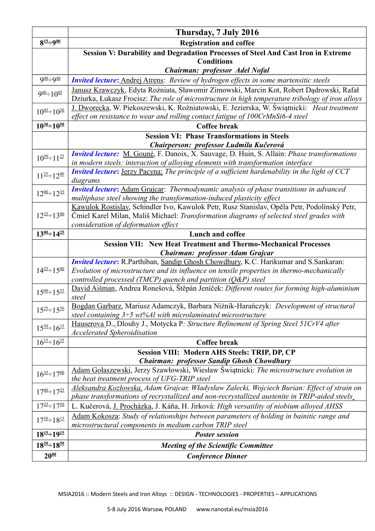|                                           | Thursday, 7 July 2016                                                                                                                                                                                                          |
|-------------------------------------------|--------------------------------------------------------------------------------------------------------------------------------------------------------------------------------------------------------------------------------|
| $8^{15} \div 9^{00}$                      | <b>Registration and coffee</b>                                                                                                                                                                                                 |
|                                           | Session V: Durability and Degradation Processes of Steel And Cast Iron in Extreme                                                                                                                                              |
|                                           | <b>Conditions</b>                                                                                                                                                                                                              |
|                                           | Chairman: professor Adel Nofal                                                                                                                                                                                                 |
| $900 \div 940$                            | <b>Invited lecture:</b> Andrej Atrens: Review of hydrogen effects in some martensitic steels                                                                                                                                   |
| $9^{40} \div 10^{05}$                     | Janusz Krawczyk, Edyta Rożniata, Sławomir Zimowski, Marcin Kot, Robert Dądrowski, Rafał<br>Dziurka, Łukasz Frocisz: The role of microstructure in high temperature tribology of iron alloys                                    |
| $10^{05} \div 10^{30}$                    | J. Dworecka, W. Piekoszewski, K. Rożniatowski, E. Jezierska, W. Świątnicki: Heat treatment<br>effect on resistance to wear and rolling contact fatigue of 100CrMnSi6-4 steel                                                   |
| $10^{30} \div 10^{50}$                    | <b>Coffee break</b>                                                                                                                                                                                                            |
|                                           | <b>Session VI: Phase Transformations in Steels</b>                                                                                                                                                                             |
|                                           | Chairperson: professor Ludmila Kučerová                                                                                                                                                                                        |
| $10^{50} \div 11^{25}$                    | <b>Invited lecture:</b> M. Gouné, F. Danoix, X. Sauvage, D. Huin, S. Allain: <i>Phase transformations</i><br>in modern steels: interaction of alloying elements with transformation interface                                  |
| $11^{25} \div 12^{00}$                    | <b>Invited lecture:</b> Jerzy Pacyna: The principle of a sufficient hardenability in the light of CCT<br>diagrams                                                                                                              |
| $12^{00} \div 12^{35}$                    | <b>Invited lecture:</b> Adam Grajcar: Thermodynamic analysis of phase transitions in advanced<br>multiphase steel showing the transformation-induced plasticity effect                                                         |
| $12^{35} \div 13^{00}$                    | Kawulok Rostislav, Schindler Ivo, Kawulok Petr, Rusz Stanislav, Opěla Petr, Podolínský Petr,<br>Čmiel Karel Milan, Mališ Michael: Transformation diagrams of selected steel grades with<br>consideration of deformation effect |
| $13^{00} \div 14^{25}$                    | Lunch and coffee                                                                                                                                                                                                               |
|                                           | <b>Session VII: New Heat Treatment and Thermo-Mechanical Processes</b>                                                                                                                                                         |
|                                           | Chairman: professor Adam Grajcar                                                                                                                                                                                               |
|                                           | <b>Invited lecture:</b> R.Parthiban, Sandip Ghosh Chowdhury, K.C. Harikumar and S.Sankaran:                                                                                                                                    |
| $14^{25} \div 15^{00}$                    | Evolution of microstructure and its influence on tensile properties in thermo-mechanically                                                                                                                                     |
|                                           | controlled processed (TMCP) quench and partition $(Q\&P)$ steel                                                                                                                                                                |
| $15^{00} \div 15^{25}$                    | David Aišman, Andrea Ronešová, Štěpán Jeníček: Different routes for forming high-aluminium<br>steel                                                                                                                            |
| $15^{25} \div 15^{50}$                    | Bogdan Garbarz, Mariusz Adamczyk, Barbara Niżnik-Harańczyk: Development of structural                                                                                                                                          |
|                                           | steel containing $3\div 5$ wt%Al with microlaminated microstructure                                                                                                                                                            |
| $15^{50} \div 16^{15}$                    | Hauserova D., Dlouhy J., Motycka P: Structure Refinement of Spring Steel 51CrV4 after<br><b>Accelerated Spheroidisation</b>                                                                                                    |
| $16^{\frac{15}{3}}$ + $16^{\frac{35}{2}}$ | <b>Coffee break</b>                                                                                                                                                                                                            |
|                                           | <b>Session VIII: Modern AHS Steels: TRIP, DP, CP</b>                                                                                                                                                                           |
|                                           | <b>Chairman: professor Sandip Ghosh Chowdhury</b>                                                                                                                                                                              |
| $16^{35} \div 17^{00}$                    | Adam Gołaszewski, Jerzy Szawłowski, Wiesław Świątnicki: The microstructure evolution in<br>the heat treatment process of UFG-TRIP steel                                                                                        |
|                                           | Aleksandra Kozłowska, Adam Grajcar, Władysław Zalecki, Wojciech Burian: Effect of strain on                                                                                                                                    |
| $17^{00} \div 17^{25}$                    | phase transformations of recrystallized and non-recrystallized austenite in TRIP-aided steels_                                                                                                                                 |
| $17^{25} \div 17^{50}$                    | L. Kučerová, J. Procházka, J. Káňa, H. Jirková: High versatility of niobium alloyed AHSS                                                                                                                                       |
| $17^{50} \div 18^{15}$                    | Adam Kokosza: Study of relationships between parameters of holding in bainitic range and<br>microstructural components in medium carbon TRIP steel                                                                             |
| $18^{15} \div 19^{15}$                    | <b>Poster session</b>                                                                                                                                                                                                          |
| $18^{20} \div 18^{50}$                    | <b>Meeting of the Scientific Committee</b>                                                                                                                                                                                     |
| $20^{00}$                                 |                                                                                                                                                                                                                                |
|                                           | <b>Conference Dinner</b>                                                                                                                                                                                                       |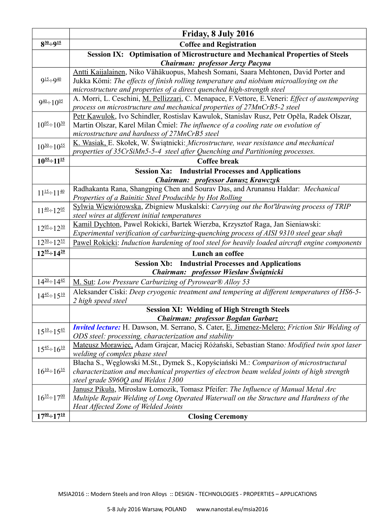|                                                | Friday, 8 July 2016                                                                                                       |
|------------------------------------------------|---------------------------------------------------------------------------------------------------------------------------|
| $8^{30} \div 9^{15}$                           | <b>Coffee and Registration</b>                                                                                            |
|                                                | <b>Session IX: Optimisation of Microstructure and Mechanical Properties of Steels</b><br>Chairman: professor Jerzy Pacyna |
|                                                | Antti Kaijalainen, Niko Vähäkuopus, Mahesh Somani, Saara Mehtonen, David Porter and                                       |
| $9^{15} \div 9^{40}$                           | Jukka Kömi: The effects of finish rolling temperature and niobium microalloying on the                                    |
|                                                | microstructure and properties of a direct quenched high-strength steel                                                    |
|                                                | A. Morri, L. Ceschini, M. Pellizzari, C. Menapace, F. Vettore, E. Veneri: Effect of austempering                          |
| $9^{40} \div 10^{05}$                          | process on microstructure and mechanical properties of 27MnCrB5-2 steel                                                   |
| $10^{05} \div 10^{30}$                         | Petr Kawulok, Ivo Schindler, Rostislav Kawulok, Stanislav Rusz, Petr Opěla, Radek Olszar,                                 |
|                                                | Martin Olszar, Karel Milan Čmiel: The influence of a cooling rate on evolution of                                         |
|                                                | microstructure and hardness of 27MnCrB5 steel                                                                             |
| $10^{30} \div 10^{55}$                         | K. Wasiak, E. Skołek, W. Świątnicki: Microstructure, wear resistance and mechanical                                       |
|                                                | properties of 35CrSiMn5-5-4 steel after Quenching and Partitioning processes.                                             |
| $10^{55} \div 11^{15}$                         | <b>Coffee break</b>                                                                                                       |
|                                                | <b>Session Xa:</b> Industrial Processes and Applications                                                                  |
|                                                | Chairman: professor Janusz Krawczyk                                                                                       |
| $11^{\underline{15}} \div 11^{\underline{40}}$ | Radhakanta Rana, Shangping Chen and Sourav Das, and Arunansu Haldar: Mechanical                                           |
|                                                | Properties of a Bainitic Steel Producible by Hot Rolling                                                                  |
| $11^{40} \div 12^{05}$                         | Sylwia Wiewiórowska, Zbigniew Muskalski: Carrying out the hot'drawing process of TRIP                                     |
|                                                | steel wires at different initial temperatures                                                                             |
| $12^{05} \div 12^{30}$                         | Kamil Dychton, Pawel Rokicki, Bartek Wierzba, Krzysztof Raga, Jan Sieniawski:                                             |
|                                                | Experimental verification of carburizing-quenching process of AISI 9310 steel gear shaft                                  |
| $12^{30} \div 12^{55}$                         | Pawel Rokicki: Induction hardening of tool steel for heavily loaded aircraft engine components                            |
| $12^{55}$ $-14^{20}$                           | Lunch an coffee                                                                                                           |
|                                                | <b>Session Xb:</b> Industrial Processes and Applications                                                                  |
|                                                | Chairman: professor Wiesław Świątnicki                                                                                    |
| $14^{20} \div 14^{45}$                         | M. Sut: Low Pressure Carburizing of Pyrowear® Alloy 53                                                                    |
| $14^{45} \div 15^{10}$                         | Aleksander Ciski: Deep cryogenic treatment and tempering at different temperatures of HS6-5-                              |
|                                                | 2 high speed steel                                                                                                        |
|                                                | <b>Session XI: Welding of High Strength Steels</b><br>Chairman: professor Bogdan Garbarz                                  |
|                                                | <b>Invited lecture:</b> H. Dawson, M. Serrano, S. Cater, E. Jimenez-Melero: Friction Stir Welding of                      |
| $15^{10} \div 15^{45}$                         | ODS steel: processing, characterization and stability                                                                     |
|                                                | Mateusz Morawiec, Adam Grajcar, Maciej Różański, Sebastian Stano: Modified twin spot laser                                |
| $15^{45} \div 16^{10}$                         | welding of complex phase steel                                                                                            |
|                                                | Błacha S., Węglowski M.St., Dymek S., Kopyściański M.: Comparison of microstructural                                      |
| $16^{10} \div 16^{35}$                         | characterization and mechanical properties of electron beam welded joints of high strength                                |
|                                                | steel grade S960Q and Weldox 1300                                                                                         |
| $16^{35} \div 17^{00}$                         | Janusz Pikuła, Mirosław Łomozik, Tomasz Pfeifer: The Influence of Manual Metal Arc                                        |
|                                                | Multiple Repair Welding of Long Operated Waterwall on the Structure and Hardness of the                                   |
|                                                | Heat Affected Zone of Welded Joints                                                                                       |
| $17^{00} \div 17^{10}$                         | <b>Closing Ceremony</b>                                                                                                   |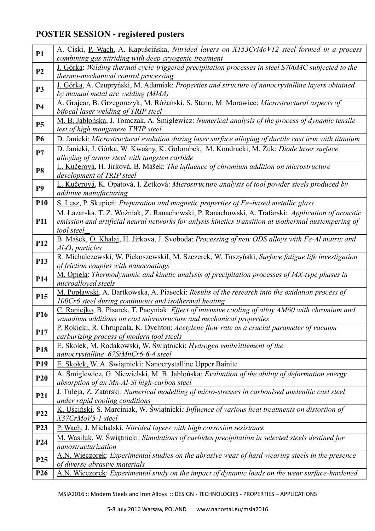## **POSTER SESSION - registered posters**

| <b>P1</b>       | A. Ciski, P. Wach, A. Kapuścińska, Nitrided layers on X153CrMoV12 steel formed in a process<br>combining gas nitriding with deep cryogenic treatment     |
|-----------------|----------------------------------------------------------------------------------------------------------------------------------------------------------|
| P <sub>2</sub>  | J. Górka: Welding thermal cycle-triggered precipitation processes in steel S700MC subjected to the<br>thermo-mechanical control processing               |
| P3              | J. Górka, A. Czupryński, M. Adamiak: Properties and structure of nanocrystalline layers obtained<br>by manual metal arc welding (MMA)                    |
| <b>P4</b>       | A. Grajcar, B. Grzegorczyk, M. Różański, S. Stano, M. Morawiec: Microstructural aspects of<br>bifocal laser welding of TRIP steel                        |
| <b>P5</b>       | M. B. Jabłońska, J. Tomczak, A. Śmiglewicz: Numerical analysis of the process of dynamic tensile<br>test of high manganese TWIP steel                    |
| <b>P6</b>       | D. Janicki: Microstructural evolution during laser surface alloying of ductile cast iron with titanium                                                   |
| P7              | D. Janicki, J. Górka, W. Kwaśny, K. Gołombek, M. Kondracki, M. Żuk: Diode laser surface                                                                  |
|                 | alloying of armor steel with tungsten carbide                                                                                                            |
| <b>P8</b>       | L. Kučerová, H. Jirková, B. Mašek: The influence of chromium addition on microstructure<br>development of TRIP steel                                     |
| <b>P9</b>       | L. Kučerová, K. Opatová, I. Zetková: Microstructure analysis of tool powder steels produced by<br>additive manufacturing                                 |
| <b>P10</b>      | S. Lesz, P. Skupień: Preparation and magnetic properties of Fe-based metallic glass                                                                      |
|                 | M. Łazarska, T. Z. Woźniak, Z. Ranachowski, P. Ranachowski, A. Trafarski: Application of acoustic                                                        |
| <b>P11</b>      | emission and artificial neural networks for anlysis kinetics transition at isothermal austempering of                                                    |
|                 | tool steel_                                                                                                                                              |
| P <sub>12</sub> | B. Mašek, O. Khalaj, H. Jirkova, J. Svoboda: Processing of new ODS alloys with Fe-Al matrix and<br>$Al_2O_3$ particles                                   |
|                 | R. Michalczewski, W. PiekoszewskiI, M. Szczerek, W. Tuszyński, Surface fatigue life investigation                                                        |
| P <sub>13</sub> | of friction couples with nanocoatings                                                                                                                    |
| P <sub>14</sub> | M. Opiela: Thermodynamic and kinetic analysis of precipitation processes of MX-type phases in                                                            |
|                 | microalloyed steels                                                                                                                                      |
| P15             | M. Popławski, A. Bartkowska, A. Piasecki: Results of the research into the oxidation process of<br>100Cr6 steel during continuous and isothermal heating |
|                 | C. Rapiejko, B. Pisarek, T. Pacyniak: Effect of intensive cooling of alloy AM60 with chromium and                                                        |
| P <sub>16</sub> | vanadium additions on cast microstructure and mechanical properties                                                                                      |
| P17             | P. Rokicki, R. Chrupcala, K. Dychton: Acetylene flow rate as a crucial parameter of vacuum                                                               |
|                 | carburizing process of modern tool steels                                                                                                                |
| P <sub>18</sub> | E. Skołek, M. Rodakowski, W. Świątnicki: Hydrogen emibrittlement of the<br>nanocrystalline 67SiMnCr6-6-4 steel                                           |
| P <sub>19</sub> | E. Skołek, W. A. Świątnicki: Nanocrystalline Upper Bainite                                                                                               |
|                 | A. Śmiglewicz, G. Niewielski, M. B. Jabłońska: Evaluation of the ability of deformation energy                                                           |
| <b>P20</b>      | absorption of an Mn-Al-Si high-carbon steel                                                                                                              |
| P21             | J. Tuleja, Z. Zatorski: Numerical modelling of micro-stresses in carbonised austenitic cast steel<br>under rapid cooling conditions                      |
|                 | K. Uściński, S. Marciniak, W. Świątnicki: Influence of various heat treatments on distortion of                                                          |
| P <sub>22</sub> | X37CrMoV5-1 steel                                                                                                                                        |
| P <sub>23</sub> | P. Wach, J. Michalski, Nitrided layers with high corrosion resistance                                                                                    |
| P <sub>24</sub> | M. Wasiluk, W. Świątnicki: Simulations of carbides precipitation in selected steels destined for                                                         |
|                 | nanostructurization                                                                                                                                      |
| P <sub>25</sub> | A.N. Wieczorek: Experimental studies on the abrasive wear of hard-wearing steels in the presence<br>of diverse abrasive materials                        |
| P <sub>26</sub> | A.N. Wieczorek: Experimental study on the impact of dynamic loads on the wear surface-hardened                                                           |